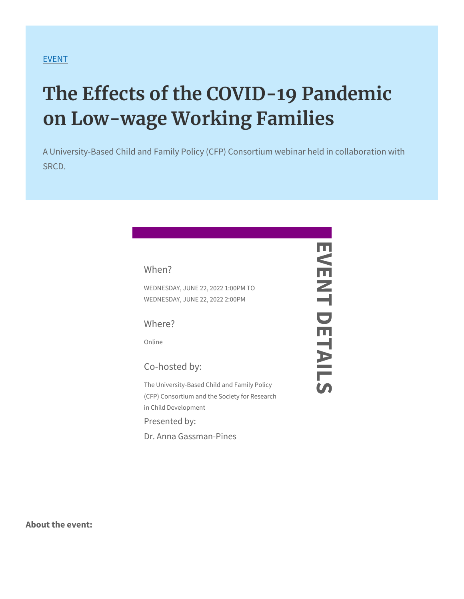## [EVE](https://www.srcd.org/events)NT

## The Effects of the COVID-19 Part on Low-wage Working Families

A University-Based Child and Family Policy (CFP) Consortium we SRCD.

| When?                                                                                                                                                            |  |
|------------------------------------------------------------------------------------------------------------------------------------------------------------------|--|
| WEDNESDAY, JUNE 227,02022 1:00 PM<br>WEDNESDAY, JUNE 22, 2022 2:00 P                                                                                             |  |
| Where?                                                                                                                                                           |  |
| Online                                                                                                                                                           |  |
| Co-hosted by:                                                                                                                                                    |  |
| The University-Based Child and Family Policy<br>(CFP) Consortium and the Society for Research<br>in Child Development<br>Presented by:<br>Dr. Anna Gassman-Pines |  |
|                                                                                                                                                                  |  |

About the event: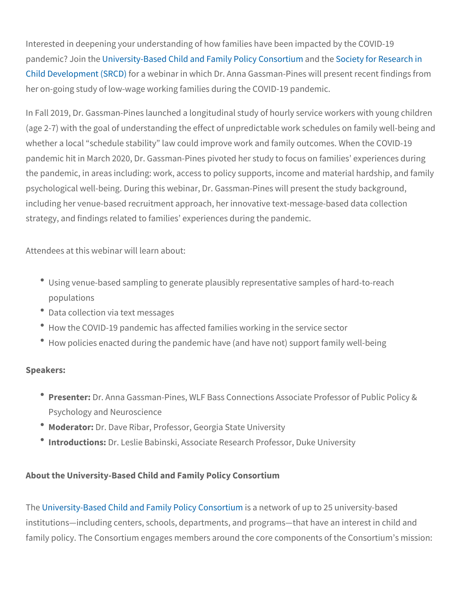Interested in deepening your understanding of how families have be pandemic? Jubin invehresity-Based Child and Famialny dPhobleicule to of roor of Rteisienarch [Child Developm](https://www.srcd.org/)ent (SS RwGD) nar in which Dr. Anna Gassman-Pines wil her on-going study of low-wage working families during the COVID-

In Fall 2019, Dr. Gassman-Pines launched a longitudinal study of h (age 2-7) with the goal of understanding the effect of unpredictable whether a local schedule stability law could improve work and fam pandemic hit in March 2020, Dr. Gassman-Pines pivoted her study t the pandemic, in areas including: work, access to policy supports, psychological well-being. During this webinar, Dr. Gassman-Pines w including her venue-based recruitment approach, her innovative tex strategy, and findings related to families experiences during the p

Attendees at this webinar will learn about:

- $\degree$  Using venue-based sampling to generate plausibly representativ populations
- Data collection via text messages
- How the COVID-19 pandemic has affected families working in th
- $^{\bullet}$  How policies enacted during the pandemic have (and have not) :

Speakers:

- <sup>•</sup> Present@r: Anna Gassman-Pines, WLF Bass Connections Associa Psychology and Neuroscience
- ModeratDr: Dave Ribar, Professor, Georgia State University
- <sup>.</sup> IntroductiDms: Leslie Babinski, Associate Research Professor, Du

About the University-Based Child and Family Policy Consortium

The niversity-Based Child and Family aPpleitow of Cho not out piutom 25 university institutions including centers, schools, departments, and programs family policy. The Consortium engages members around the core co